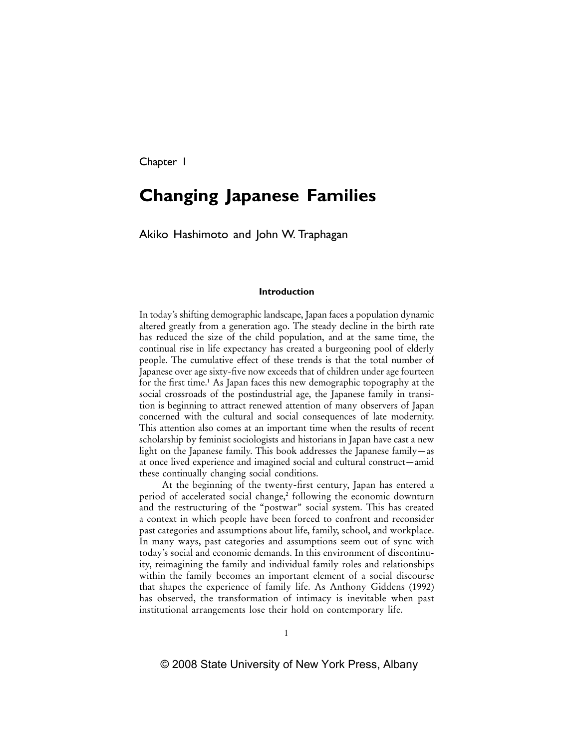Chapter 1

# **Changing Japanese Families**

Akiko Hashimoto and John W. Traphagan

## **Introduction**

In today's shifting demographic landscape, Japan faces a population dynamic altered greatly from a generation ago. The steady decline in the birth rate has reduced the size of the child population, and at the same time, the continual rise in life expectancy has created a burgeoning pool of elderly people. The cumulative effect of these trends is that the total number of Japanese over age sixty-five now exceeds that of children under age fourteen for the first time.<sup>1</sup> As Japan faces this new demographic topography at the social crossroads of the postindustrial age, the Japanese family in transition is beginning to attract renewed attention of many observers of Japan concerned with the cultural and social consequences of late modernity. This attention also comes at an important time when the results of recent scholarship by feminist sociologists and historians in Japan have cast a new light on the Japanese family. This book addresses the Japanese family—as at once lived experience and imagined social and cultural construct—amid these continually changing social conditions.

At the beginning of the twenty-first century, Japan has entered a period of accelerated social change,<sup>2</sup> following the economic downturn and the restructuring of the "postwar" social system. This has created a context in which people have been forced to confront and reconsider past categories and assumptions about life, family, school, and workplace. In many ways, past categories and assumptions seem out of sync with today's social and economic demands. In this environment of discontinuity, reimagining the family and individual family roles and relationships within the family becomes an important element of a social discourse that shapes the experience of family life. As Anthony Giddens (1992) has observed, the transformation of intimacy is inevitable when past institutional arrangements lose their hold on contemporary life.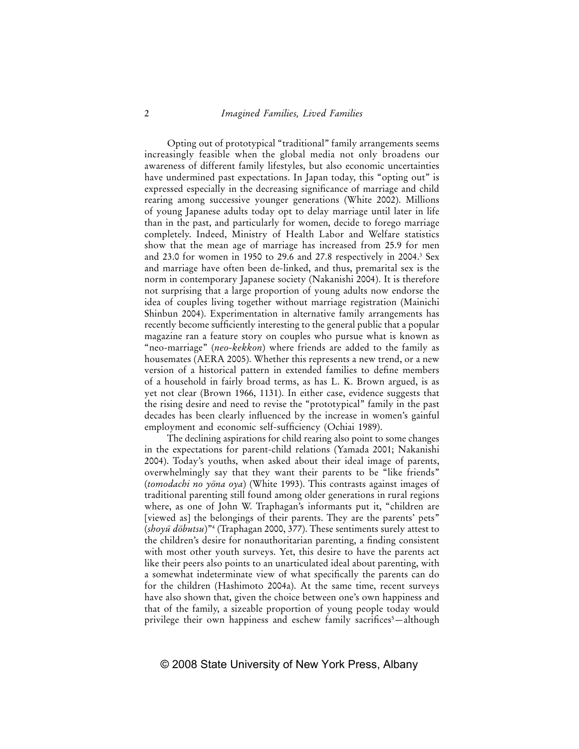Opting out of prototypical "traditional" family arrangements seems increasingly feasible when the global media not only broadens our awareness of different family lifestyles, but also economic uncertainties have undermined past expectations. In Japan today, this "opting out" is expressed especially in the decreasing significance of marriage and child rearing among successive younger generations (White 2002). Millions of young Japanese adults today opt to delay marriage until later in life than in the past, and particularly for women, decide to forego marriage completely. Indeed, Ministry of Health Labor and Welfare statistics show that the mean age of marriage has increased from 25.9 for men and 23.0 for women in 1950 to 29.6 and 27.8 respectively in 2004.<sup>3</sup> Sex and marriage have often been de-linked, and thus, premarital sex is the norm in contemporary Japanese society (Nakanishi 2004). It is therefore not surprising that a large proportion of young adults now endorse the idea of couples living together without marriage registration (Mainichi Shinbun 2004). Experimentation in alternative family arrangements has recently become sufficiently interesting to the general public that a popular magazine ran a feature story on couples who pursue what is known as "neo-marriage" (*neo-kekkon*) where friends are added to the family as housemates (AERA 2005). Whether this represents a new trend, or a new version of a historical pattern in extended families to define members of a household in fairly broad terms, as has L. K. Brown argued, is as yet not clear (Brown 1966, 1131). In either case, evidence suggests that the rising desire and need to revise the "prototypical" family in the past decades has been clearly influenced by the increase in women's gainful employment and economic self-sufficiency (Ochiai 1989).

The declining aspirations for child rearing also point to some changes in the expectations for parent-child relations (Yamada 2001; Nakanishi 2004). Today's youths, when asked about their ideal image of parents, overwhelmingly say that they want their parents to be "like friends" (*tomodachi no yona oya*) (White 1993). This contrasts against images of traditional parenting still found among older generations in rural regions where, as one of John W. Traphagan's informants put it, "children are [viewed as] the belongings of their parents. They are the parents' pets" (*shoyu¯ do¯butsu*)"4 (Traphagan 2000, 377). These sentiments surely attest to the children's desire for nonauthoritarian parenting, a finding consistent with most other youth surveys. Yet, this desire to have the parents act like their peers also points to an unarticulated ideal about parenting, with a somewhat indeterminate view of what specifically the parents can do for the children (Hashimoto 2004a). At the same time, recent surveys have also shown that, given the choice between one's own happiness and that of the family, a sizeable proportion of young people today would privilege their own happiness and eschew family sacrifices<sup>5</sup>—although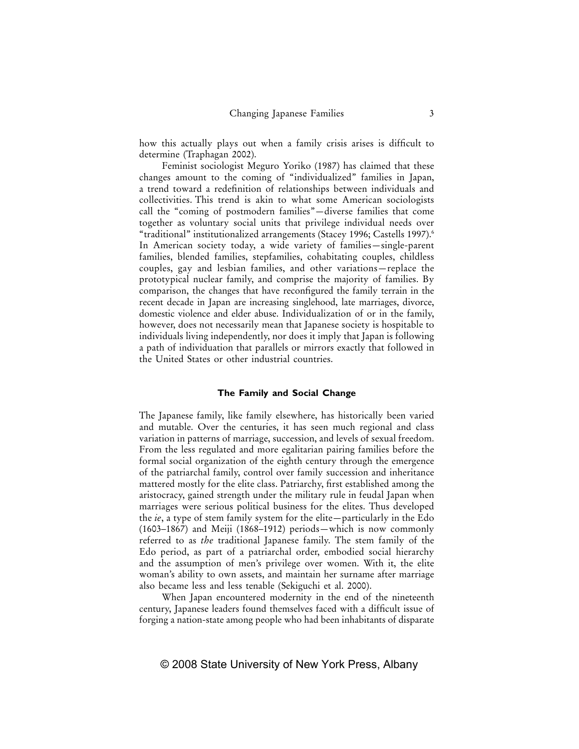how this actually plays out when a family crisis arises is difficult to determine (Traphagan 2002).

Feminist sociologist Meguro Yoriko (1987) has claimed that these changes amount to the coming of "individualized" families in Japan, a trend toward a redefinition of relationships between individuals and collectivities. This trend is akin to what some American sociologists call the "coming of postmodern families"—diverse families that come together as voluntary social units that privilege individual needs over "traditional" institutionalized arrangements (Stacey 1996; Castells 1997).6 In American society today, a wide variety of families—single-parent families, blended families, stepfamilies, cohabitating couples, childless couples, gay and lesbian families, and other variations—replace the prototypical nuclear family, and comprise the majority of families. By comparison, the changes that have reconfigured the family terrain in the recent decade in Japan are increasing singlehood, late marriages, divorce, domestic violence and elder abuse. Individualization of or in the family, however, does not necessarily mean that Japanese society is hospitable to individuals living independently, nor does it imply that Japan is following a path of individuation that parallels or mirrors exactly that followed in the United States or other industrial countries.

## **The Family and Social Change**

The Japanese family, like family elsewhere, has historically been varied and mutable. Over the centuries, it has seen much regional and class variation in patterns of marriage, succession, and levels of sexual freedom. From the less regulated and more egalitarian pairing families before the formal social organization of the eighth century through the emergence of the patriarchal family, control over family succession and inheritance mattered mostly for the elite class. Patriarchy, first established among the aristocracy, gained strength under the military rule in feudal Japan when marriages were serious political business for the elites. Thus developed the *ie*, a type of stem family system for the elite—particularly in the Edo (1603–1867) and Meiji (1868–1912) periods—which is now commonly referred to as *the* traditional Japanese family. The stem family of the Edo period, as part of a patriarchal order, embodied social hierarchy and the assumption of men's privilege over women. With it, the elite woman's ability to own assets, and maintain her surname after marriage also became less and less tenable (Sekiguchi et al. 2000).

When Japan encountered modernity in the end of the nineteenth century, Japanese leaders found themselves faced with a difficult issue of forging a nation-state among people who had been inhabitants of disparate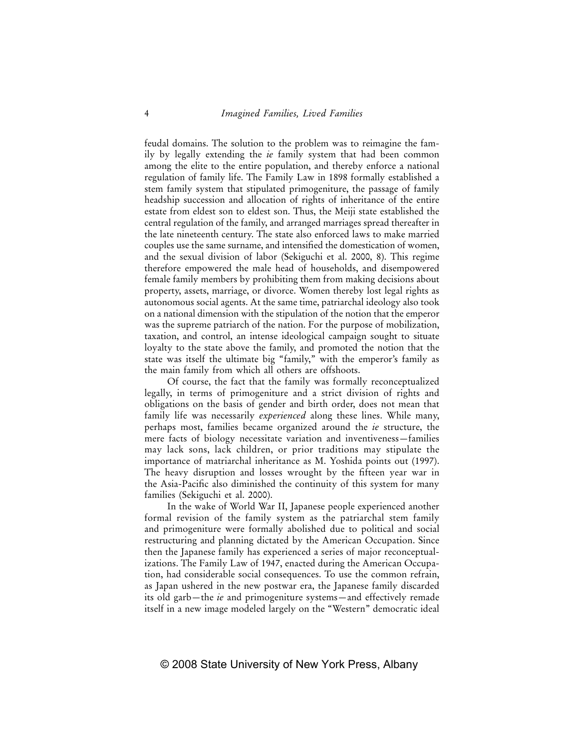feudal domains. The solution to the problem was to reimagine the family by legally extending the *ie* family system that had been common among the elite to the entire population, and thereby enforce a national regulation of family life. The Family Law in 1898 formally established a stem family system that stipulated primogeniture, the passage of family headship succession and allocation of rights of inheritance of the entire estate from eldest son to eldest son. Thus, the Meiji state established the central regulation of the family, and arranged marriages spread thereafter in the late nineteenth century. The state also enforced laws to make married couples use the same surname, and intensified the domestication of women, and the sexual division of labor (Sekiguchi et al. 2000, 8). This regime therefore empowered the male head of households, and disempowered female family members by prohibiting them from making decisions about property, assets, marriage, or divorce. Women thereby lost legal rights as autonomous social agents. At the same time, patriarchal ideology also took on a national dimension with the stipulation of the notion that the emperor was the supreme patriarch of the nation. For the purpose of mobilization, taxation, and control, an intense ideological campaign sought to situate loyalty to the state above the family, and promoted the notion that the state was itself the ultimate big "family," with the emperor's family as the main family from which all others are offshoots.

Of course, the fact that the family was formally reconceptualized legally, in terms of primogeniture and a strict division of rights and obligations on the basis of gender and birth order, does not mean that family life was necessarily *experienced* along these lines. While many, perhaps most, families became organized around the *ie* structure, the mere facts of biology necessitate variation and inventiveness—families may lack sons, lack children, or prior traditions may stipulate the importance of matriarchal inheritance as M. Yoshida points out (1997). The heavy disruption and losses wrought by the fifteen year war in the Asia-Pacific also diminished the continuity of this system for many families (Sekiguchi et al. 2000).

In the wake of World War II, Japanese people experienced another formal revision of the family system as the patriarchal stem family and primogeniture were formally abolished due to political and social restructuring and planning dictated by the American Occupation. Since then the Japanese family has experienced a series of major reconceptualizations. The Family Law of 1947, enacted during the American Occupation, had considerable social consequences. To use the common refrain, as Japan ushered in the new postwar era, the Japanese family discarded its old garb—the *ie* and primogeniture systems—and effectively remade itself in a new image modeled largely on the "Western" democratic ideal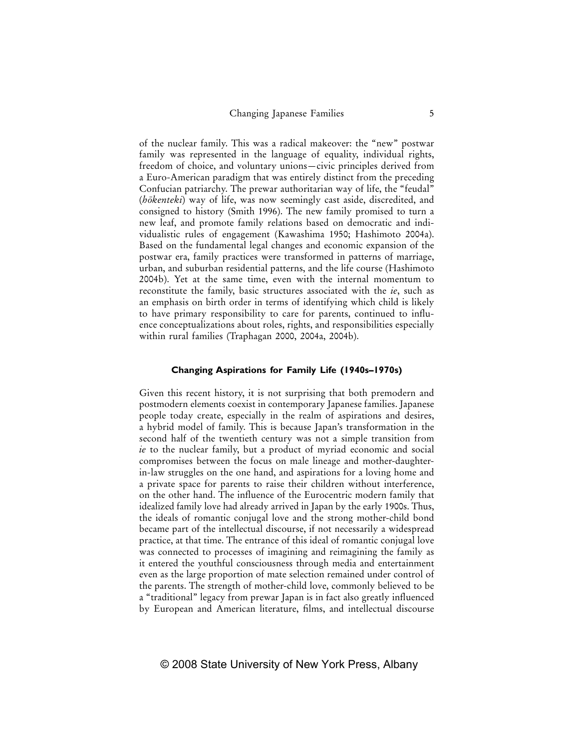of the nuclear family. This was a radical makeover: the "new" postwar family was represented in the language of equality, individual rights, freedom of choice, and voluntary unions—civic principles derived from a Euro-American paradigm that was entirely distinct from the preceding Confucian patriarchy. The prewar authoritarian way of life, the "feudal" (*hobenteki*) way of life, was now seemingly cast aside, discredited, and consigned to history (Smith 1996). The new family promised to turn a new leaf, and promote family relations based on democratic and individualistic rules of engagement (Kawashima 1950; Hashimoto 2004a). Based on the fundamental legal changes and economic expansion of the postwar era, family practices were transformed in patterns of marriage, urban, and suburban residential patterns, and the life course (Hashimoto 2004b). Yet at the same time, even with the internal momentum to reconstitute the family, basic structures associated with the *ie*, such as an emphasis on birth order in terms of identifying which child is likely to have primary responsibility to care for parents, continued to influence conceptualizations about roles, rights, and responsibilities especially within rural families (Traphagan 2000, 2004a, 2004b).

## **Changing Aspirations for Family Life (1940s–1970s)**

Given this recent history, it is not surprising that both premodern and postmodern elements coexist in contemporary Japanese families. Japanese people today create, especially in the realm of aspirations and desires, a hybrid model of family. This is because Japan's transformation in the second half of the twentieth century was not a simple transition from *ie* to the nuclear family, but a product of myriad economic and social compromises between the focus on male lineage and mother-daughterin-law struggles on the one hand, and aspirations for a loving home and a private space for parents to raise their children without interference, on the other hand. The influence of the Eurocentric modern family that idealized family love had already arrived in Japan by the early 1900s. Thus, the ideals of romantic conjugal love and the strong mother-child bond became part of the intellectual discourse, if not necessarily a widespread practice, at that time. The entrance of this ideal of romantic conjugal love was connected to processes of imagining and reimagining the family as it entered the youthful consciousness through media and entertainment even as the large proportion of mate selection remained under control of the parents. The strength of mother-child love, commonly believed to be a "traditional" legacy from prewar Japan is in fact also greatly influenced by European and American literature, films, and intellectual discourse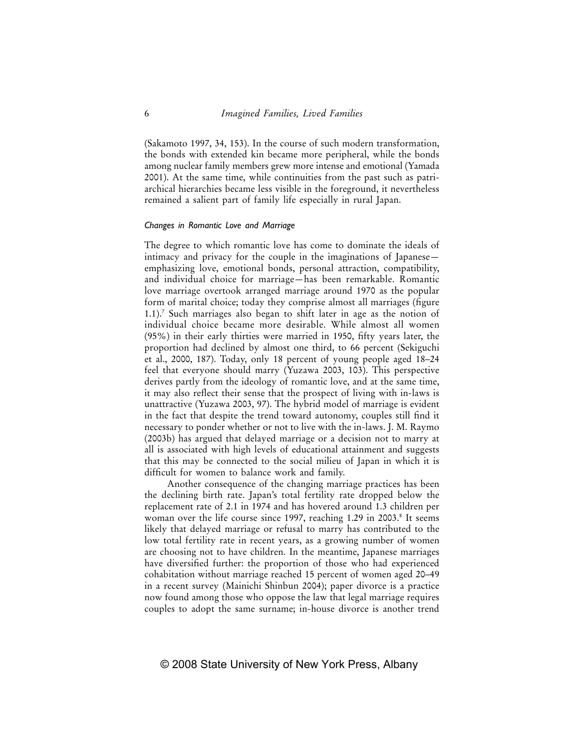(Sakamoto 1997, 34, 153). In the course of such modern transformation, the bonds with extended kin became more peripheral, while the bonds among nuclear family members grew more intense and emotional (Yamada 2001). At the same time, while continuities from the past such as patriarchical hierarchies became less visible in the foreground, it nevertheless remained a salient part of family life especially in rural Japan.

#### *Changes in Romantic Love and Marriage*

The degree to which romantic love has come to dominate the ideals of intimacy and privacy for the couple in the imaginations of Japanese emphasizing love, emotional bonds, personal attraction, compatibility, and individual choice for marriage—has been remarkable. Romantic love marriage overtook arranged marriage around 1970 as the popular form of marital choice; today they comprise almost all marriages (figure 1.1).7 Such marriages also began to shift later in age as the notion of individual choice became more desirable. While almost all women  $(95%)$  in their early thirties were married in 1950, fifty years later, the proportion had declined by almost one third, to 66 percent (Sekiguchi et al., 2000, 187). Today, only 18 percent of young people aged 18–24 feel that everyone should marry (Yuzawa 2003, 103). This perspective derives partly from the ideology of romantic love, and at the same time, it may also reflect their sense that the prospect of living with in-laws is unattractive (Yuzawa 2003, 97). The hybrid model of marriage is evident in the fact that despite the trend toward autonomy, couples still find it necessary to ponder whether or not to live with the in-laws. J. M. Raymo (2003b) has argued that delayed marriage or a decision not to marry at all is associated with high levels of educational attainment and suggests that this may be connected to the social milieu of Japan in which it is difficult for women to balance work and family.

Another consequence of the changing marriage practices has been the declining birth rate. Japan's total fertility rate dropped below the replacement rate of 2.1 in 1974 and has hovered around 1.3 children per woman over the life course since 1997, reaching 1.29 in 2003.<sup>8</sup> It seems likely that delayed marriage or refusal to marry has contributed to the low total fertility rate in recent years, as a growing number of women are choosing not to have children. In the meantime, Japanese marriages have diversified further: the proportion of those who had experienced cohabitation without marriage reached 15 percent of women aged 20–49 in a recent survey (Mainichi Shinbun 2004); paper divorce is a practice now found among those who oppose the law that legal marriage requires couples to adopt the same surname; in-house divorce is another trend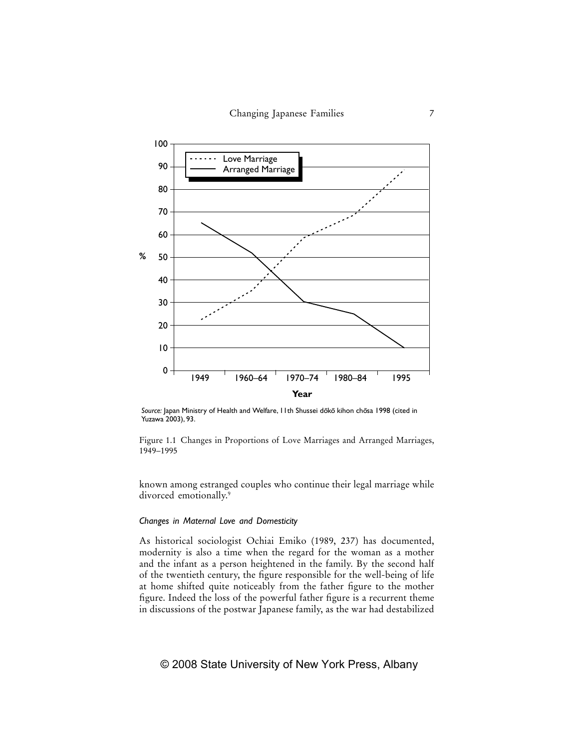

Source: Japan Ministry of Health and Welfare, I Ith Shussei doko kihon chosa 1998 (cited in Yuzawa 2003), 93.

Figure 1.1 Changes in Proportions of Love Marriages and Arranged Marriages, 1949–1995

known among estranged couples who continue their legal marriage while divorced emotionally.<sup>9</sup>

## *Changes in Maternal Love and Domesticity*

As historical sociologist Ochiai Emiko (1989, 237) has documented, modernity is also a time when the regard for the woman as a mother and the infant as a person heightened in the family. By the second half of the twentieth century, the figure responsible for the well-being of life at home shifted quite noticeably from the father figure to the mother figure. Indeed the loss of the powerful father figure is a recurrent theme in discussions of the postwar Japanese family, as the war had destabilized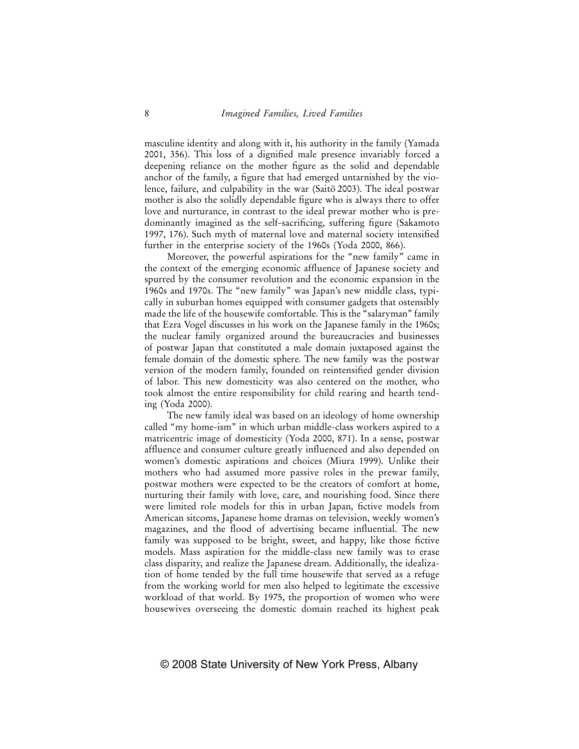masculine identity and along with it, his authority in the family (Yamada 2001, 356). This loss of a dignified male presence invariably forced a deepening reliance on the mother figure as the solid and dependable anchor of the family, a figure that had emerged untarnished by the violence, failure, and culpability in the war (Saitō 2003). The ideal postwar mother is also the solidly dependable figure who is always there to offer love and nurturance, in contrast to the ideal prewar mother who is predominantly imagined as the self-sacrificing, suffering figure (Sakamoto 1997, 176). Such myth of maternal love and maternal society intensified further in the enterprise society of the 1960s (Yoda 2000, 866).

Moreover, the powerful aspirations for the "new family" came in the context of the emerging economic affluence of Japanese society and spurred by the consumer revolution and the economic expansion in the 1960s and 1970s. The "new family" was Japan's new middle class, typically in suburban homes equipped with consumer gadgets that ostensibly made the life of the housewife comfortable. This is the "salaryman" family that Ezra Vogel discusses in his work on the Japanese family in the 1960s; the nuclear family organized around the bureaucracies and businesses of postwar Japan that constituted a male domain juxtaposed against the female domain of the domestic sphere. The new family was the postwar version of the modern family, founded on reintensified gender division of labor. This new domesticity was also centered on the mother, who took almost the entire responsibility for child rearing and hearth tending (Yoda 2000).

The new family ideal was based on an ideology of home ownership called "my home-ism" in which urban middle-class workers aspired to a matricentric image of domesticity (Yoda 2000, 871). In a sense, postwar affluence and consumer culture greatly influenced and also depended on women's domestic aspirations and choices (Miura 1999). Unlike their mothers who had assumed more passive roles in the prewar family, postwar mothers were expected to be the creators of comfort at home, nurturing their family with love, care, and nourishing food. Since there were limited role models for this in urban Japan, fictive models from American sitcoms, Japanese home dramas on television, weekly women's magazines, and the flood of advertising became influential. The new family was supposed to be bright, sweet, and happy, like those fictive models. Mass aspiration for the middle-class new family was to erase class disparity, and realize the Japanese dream. Additionally, the idealization of home tended by the full time housewife that served as a refuge from the working world for men also helped to legitimate the excessive workload of that world. By 1975, the proportion of women who were housewives overseeing the domestic domain reached its highest peak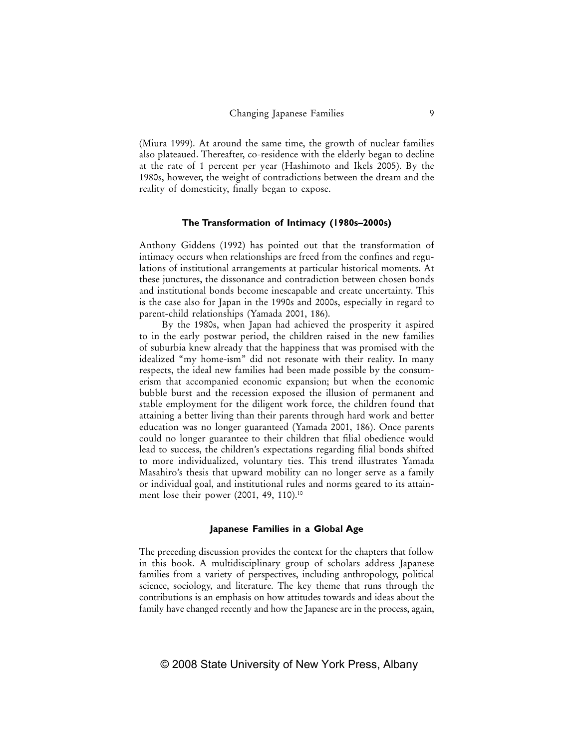(Miura 1999). At around the same time, the growth of nuclear families also plateaued. Thereafter, co-residence with the elderly began to decline at the rate of 1 percent per year (Hashimoto and Ikels 2005). By the 1980s, however, the weight of contradictions between the dream and the reality of domesticity, finally began to expose.

#### **The Transformation of Intimacy (1980s–2000s)**

Anthony Giddens (1992) has pointed out that the transformation of intimacy occurs when relationships are freed from the confines and regulations of institutional arrangements at particular historical moments. At these junctures, the dissonance and contradiction between chosen bonds and institutional bonds become inescapable and create uncertainty. This is the case also for Japan in the 1990s and 2000s, especially in regard to parent-child relationships (Yamada 2001, 186).

By the 1980s, when Japan had achieved the prosperity it aspired to in the early postwar period, the children raised in the new families of suburbia knew already that the happiness that was promised with the idealized "my home-ism" did not resonate with their reality. In many respects, the ideal new families had been made possible by the consumerism that accompanied economic expansion; but when the economic bubble burst and the recession exposed the illusion of permanent and stable employment for the diligent work force, the children found that attaining a better living than their parents through hard work and better education was no longer guaranteed (Yamada 2001, 186). Once parents could no longer guarantee to their children that filial obedience would lead to success, the children's expectations regarding filial bonds shifted to more individualized, voluntary ties. This trend illustrates Yamada Masahiro's thesis that upward mobility can no longer serve as a family or individual goal, and institutional rules and norms geared to its attainment lose their power (2001, 49, 110).<sup>10</sup>

## **Japanese Families in a Global Age**

The preceding discussion provides the context for the chapters that follow in this book. A multidisciplinary group of scholars address Japanese families from a variety of perspectives, including anthropology, political science, sociology, and literature. The key theme that runs through the contributions is an emphasis on how attitudes towards and ideas about the family have changed recently and how the Japanese are in the process, again,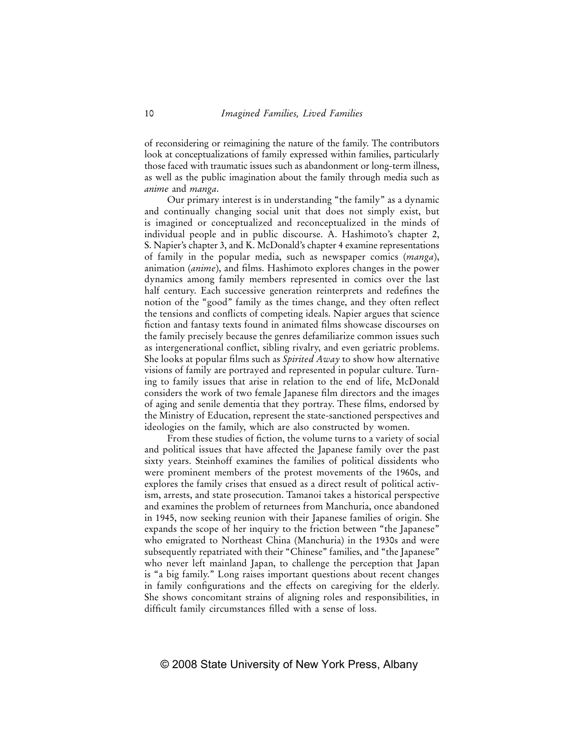of reconsidering or reimagining the nature of the family. The contributors look at conceptualizations of family expressed within families, particularly those faced with traumatic issues such as abandonment or long-term illness, as well as the public imagination about the family through media such as *anime* and *manga*.

Our primary interest is in understanding "the family" as a dynamic and continually changing social unit that does not simply exist, but is imagined or conceptualized and reconceptualized in the minds of individual people and in public discourse. A. Hashimoto's chapter 2, S. Napier's chapter 3, and K. McDonald's chapter 4 examine representations of family in the popular media, such as newspaper comics (*manga*), animation (*anime*), and films. Hashimoto explores changes in the power dynamics among family members represented in comics over the last half century. Each successive generation reinterprets and redefines the notion of the "good" family as the times change, and they often reflect the tensions and conflicts of competing ideals. Napier argues that science fiction and fantasy texts found in animated films showcase discourses on the family precisely because the genres defamiliarize common issues such as intergenerational conflict, sibling rivalry, and even geriatric problems. She looks at popular films such as *Spirited Away* to show how alternative visions of family are portrayed and represented in popular culture. Turning to family issues that arise in relation to the end of life, McDonald considers the work of two female Japanese film directors and the images of aging and senile dementia that they portray. These films, endorsed by the Ministry of Education, represent the state-sanctioned perspectives and ideologies on the family, which are also constructed by women.

From these studies of fiction, the volume turns to a variety of social and political issues that have affected the Japanese family over the past sixty years. Steinhoff examines the families of political dissidents who were prominent members of the protest movements of the 1960s, and explores the family crises that ensued as a direct result of political activism, arrests, and state prosecution. Tamanoi takes a historical perspective and examines the problem of returnees from Manchuria, once abandoned in 1945, now seeking reunion with their Japanese families of origin. She expands the scope of her inquiry to the friction between "the Japanese" who emigrated to Northeast China (Manchuria) in the 1930s and were subsequently repatriated with their "Chinese" families, and "the Japanese" who never left mainland Japan, to challenge the perception that Japan is "a big family." Long raises important questions about recent changes in family configurations and the effects on caregiving for the elderly. She shows concomitant strains of aligning roles and responsibilities, in difficult family circumstances filled with a sense of loss.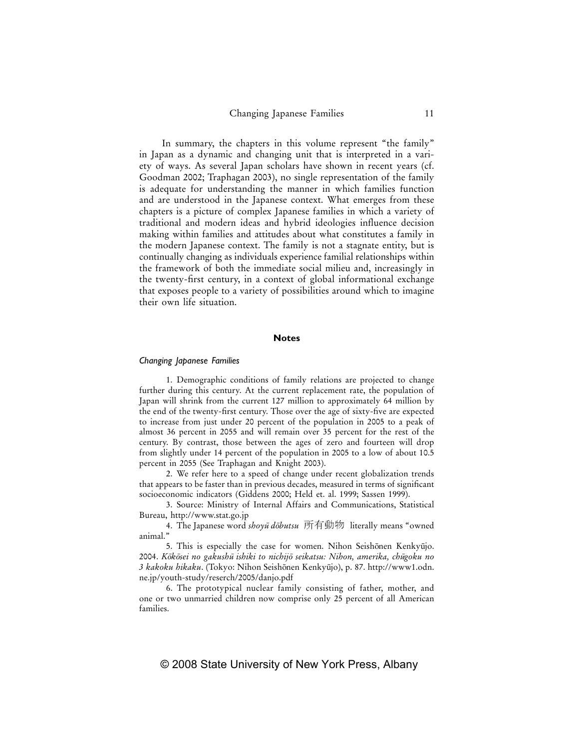In summary, the chapters in this volume represent "the family" in Japan as a dynamic and changing unit that is interpreted in a variety of ways. As several Japan scholars have shown in recent years (cf. Goodman 2002; Traphagan 2003), no single representation of the family is adequate for understanding the manner in which families function and are understood in the Japanese context. What emerges from these chapters is a picture of complex Japanese families in which a variety of traditional and modern ideas and hybrid ideologies influence decision making within families and attitudes about what constitutes a family in the modern Japanese context. The family is not a stagnate entity, but is continually changing as individuals experience familial relationships within the framework of both the immediate social milieu and, increasingly in the twenty-first century, in a context of global informational exchange that exposes people to a variety of possibilities around which to imagine their own life situation.

#### **Notes**

#### *Changing Japanese Families*

 1. Demographic conditions of family relations are projected to change further during this century. At the current replacement rate, the population of Japan will shrink from the current 127 million to approximately 64 million by the end of the twenty-first century. Those over the age of sixty-five are expected to increase from just under 20 percent of the population in 2005 to a peak of almost 36 percent in 2055 and will remain over 35 percent for the rest of the century. By contrast, those between the ages of zero and fourteen will drop from slightly under 14 percent of the population in 2005 to a low of about 10.5 percent in 2055 (See Traphagan and Knight 2003).

 2. We refer here to a speed of change under recent globalization trends that appears to be faster than in previous decades, measured in terms of significant socioeconomic indicators (Giddens 2000; Held et. al. 1999; Sassen 1999).

 3. Source: Ministry of Internal Affairs and Communications, Statistical Bureau, http://www.stat.go.jp

4. The Japanese word *shoyū dōbutsu* 所有動物 literally means "owned animal."

5. This is especially the case for women. Nihon Seishonen Kenkyūjo. 2004. Kōkōsei no gakushū ishiki to nichijō seikatsu: Nihon, amerika, chūgoku no 3 kakoku hikaku. (Tokyo: Nihon Seishōnen Kenkyūjo), p. 87. http://www1.odn. ne.jp/youth-study/reserch/2005/danjo.pdf

 6. The prototypical nuclear family consisting of father, mother, and one or two unmarried children now comprise only 25 percent of all American families.